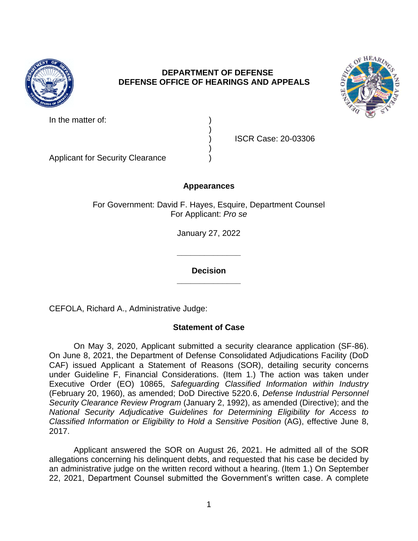

## **DEPARTMENT OF DEFENSE DEFENSE OFFICE OF HEARINGS AND APPEALS**



In the matter of:

) ISCR Case: 20-03306

Applicant for Security Clearance )

# **Appearances**

)

)

For Government: David F. Hayes, Esquire, Department Counsel For Applicant: *Pro se* 

January 27, 2022

**\_\_\_\_\_\_\_\_\_\_\_\_\_\_ Decision** 

**\_\_\_\_\_\_\_\_\_\_\_\_\_\_** 

CEFOLA, Richard A., Administrative Judge:

## **Statement of Case**

 On May 3, 2020, Applicant submitted a security clearance application (SF-86). CAF) issued Applicant a Statement of Reasons (SOR), detailing security concerns under Guideline F, Financial Considerations. (Item 1.) The action was taken under  Executive Order (EO) 10865, *Safeguarding Classified Information within Industry Classified Information or Eligibility to Hold a Sensitive Position (AG), effective June 8,* On June 8, 2021, the Department of Defense Consolidated Adjudications Facility (DoD (February 20, 1960), as amended; DoD Directive 5220.6, *Defense Industrial Personnel Security Clearance Review Program* (January 2, 1992), as amended (Directive); and the *National Security Adjudicative Guidelines for Determining Eligibility for Access to*  2017.

 Applicant answered the SOR on August 26, 2021. He admitted all of the SOR allegations concerning his delinquent debts, and requested that his case be decided by an administrative judge on the written record without a hearing. (Item 1.) On September 22, 2021, Department Counsel submitted the Government's written case. A complete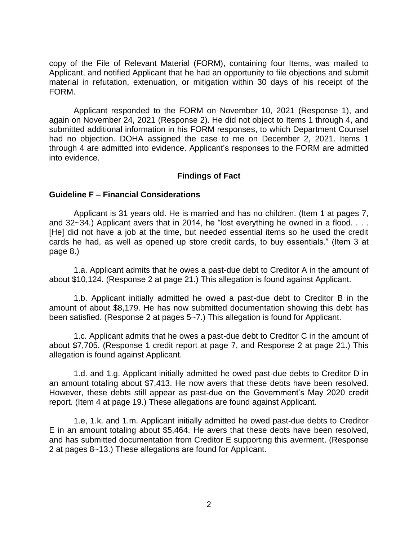copy of the File of Relevant Material (FORM), containing four Items, was mailed to Applicant, and notified Applicant that he had an opportunity to file objections and submit material in refutation, extenuation, or mitigation within 30 days of his receipt of the FORM.

 Applicant responded to the FORM on November 10, 2021 (Response 1), and again on November 24, 2021 (Response 2). He did not object to Items 1 through 4, and submitted additional information in his FORM responses, to which Department Counsel had no objection. DOHA assigned the case to me on December 2, 2021. Items 1 through 4 are admitted into evidence. Applicant's responses to the FORM are admitted into evidence.

## **Findings of Fact**

## **Guideline F – Financial Considerations**

 Applicant is 31 years old. He is married and has no children. (Item 1 at pages 7, and 32~34.) Applicant avers that in 2014, he "lost everything he owned in a flood. . . . [He] did not have a job at the time, but needed essential items so he used the credit cards he had, as well as opened up store credit cards, to buy essentials." (Item 3 at page 8.)

 1.a. Applicant admits that he owes a past-due debt to Creditor A in the amount of about \$10,124. (Response 2 at page 21.) This allegation is found against Applicant.

 1.b. Applicant initially admitted he owed a past-due debt to Creditor B in the amount of about \$8,179. He has now submitted documentation showing this debt has been satisfied. (Response 2 at pages 5~7.) This allegation is found for Applicant.

 1.c. Applicant admits that he owes a past-due debt to Creditor C in the amount of about \$7,705. (Response 1 credit report at page 7, and Response 2 at page 21.) This allegation is found against Applicant.

 1.d. and 1.g. Applicant initially admitted he owed past-due debts to Creditor D in an amount totaling about \$7,413. He now avers that these debts have been resolved. However, these debts still appear as past-due on the Government's May 2020 credit report. (Item 4 at page 19.) These allegations are found against Applicant.

 1.e, 1.k. and 1.m. Applicant initially admitted he owed past-due debts to Creditor E in an amount totaling about \$5,464. He avers that these debts have been resolved, and has submitted documentation from Creditor E supporting this averment. (Response 2 at pages 8~13.) These allegations are found for Applicant.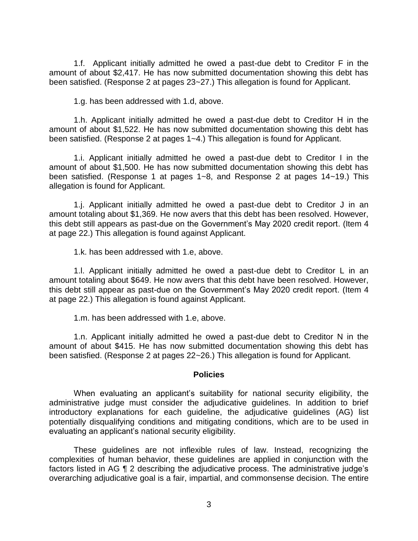1.f. Applicant initially admitted he owed a past-due debt to Creditor F in the amount of about \$2,417. He has now submitted documentation showing this debt has been satisfied. (Response 2 at pages 23~27.) This allegation is found for Applicant.

1.g. has been addressed with 1.d, above.

 1.h. Applicant initially admitted he owed a past-due debt to Creditor H in the amount of about \$1,522. He has now submitted documentation showing this debt has been satisfied. (Response 2 at pages 1~4.) This allegation is found for Applicant.

 1.i. Applicant initially admitted he owed a past-due debt to Creditor I in the amount of about \$1,500. He has now submitted documentation showing this debt has been satisfied. (Response 1 at pages 1~8, and Response 2 at pages 14~19.) This allegation is found for Applicant.

 1.j. Applicant initially admitted he owed a past-due debt to Creditor J in an amount totaling about \$1,369. He now avers that this debt has been resolved. However, this debt still appears as past-due on the Government's May 2020 credit report. (Item 4 at page 22.) This allegation is found against Applicant.

1.k. has been addressed with 1.e, above.

 1.l. Applicant initially admitted he owed a past-due debt to Creditor L in an amount totaling about \$649. He now avers that this debt have been resolved. However, this debt still appear as past-due on the Government's May 2020 credit report. (Item 4 at page 22.) This allegation is found against Applicant.

1.m. has been addressed with 1.e, above.

 1.n. Applicant initially admitted he owed a past-due debt to Creditor N in the amount of about \$415. He has now submitted documentation showing this debt has been satisfied. (Response 2 at pages 22~26.) This allegation is found for Applicant.

#### **Policies**

 When evaluating an applicant's suitability for national security eligibility, the administrative judge must consider the adjudicative guidelines. In addition to brief potentially disqualifying conditions and mitigating conditions, which are to be used in introductory explanations for each guideline, the adjudicative guidelines (AG) list evaluating an applicant's national security eligibility.

 These guidelines are not inflexible rules of law. Instead, recognizing the complexities of human behavior, these guidelines are applied in conjunction with the factors listed in AG ¶ 2 describing the adjudicative process. The administrative judge's overarching adjudicative goal is a fair, impartial, and commonsense decision. The entire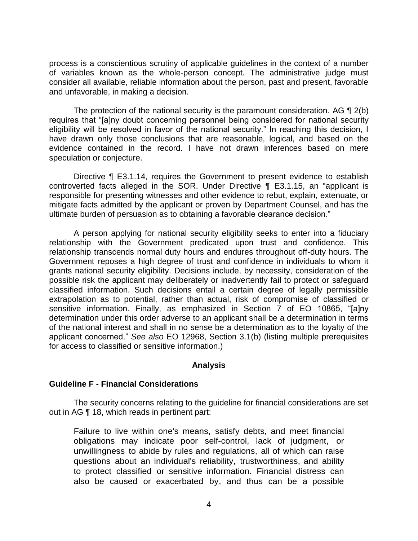process is a conscientious scrutiny of applicable guidelines in the context of a number of variables known as the whole-person concept. The administrative judge must consider all available, reliable information about the person, past and present, favorable and unfavorable, in making a decision.

The protection of the national security is the paramount consideration. AG  $\P$  2(b) eligibility will be resolved in favor of the national security." In reaching this decision, I have drawn only those conclusions that are reasonable, logical, and based on the evidence contained in the record. I have not drawn inferences based on mere requires that "[a]ny doubt concerning personnel being considered for national security speculation or conjecture.

 Directive ¶ E3.1.14, requires the Government to present evidence to establish controverted facts alleged in the SOR. Under Directive ¶ E3.1.15, an "applicant is responsible for presenting witnesses and other evidence to rebut, explain, extenuate, or mitigate facts admitted by the applicant or proven by Department Counsel, and has the ultimate burden of persuasion as to obtaining a favorable clearance decision."

 A person applying for national security eligibility seeks to enter into a fiduciary relationship with the Government predicated upon trust and confidence. This relationship transcends normal duty hours and endures throughout off-duty hours. The Government reposes a high degree of trust and confidence in individuals to whom it grants national security eligibility. Decisions include, by necessity, consideration of the possible risk the applicant may deliberately or inadvertently fail to protect or safeguard classified information. Such decisions entail a certain degree of legally permissible extrapolation as to potential, rather than actual, risk of compromise of classified or determination under this order adverse to an applicant shall be a determination in terms of the national interest and shall in no sense be a determination as to the loyalty of the applicant concerned." *See also* EO 12968, Section 3.1(b) (listing multiple prerequisites sensitive information. Finally, as emphasized in Section 7 of EO 10865, "[a]ny for access to classified or sensitive information.)

#### **Analysis**

#### **Guideline F - Financial Considerations**

 The security concerns relating to the guideline for financial considerations are set out in AG ¶ 18, which reads in pertinent part:

 unwillingness to abide by rules and regulations, all of which can raise Failure to live within one's means, satisfy debts, and meet financial obligations may indicate poor self-control, lack of judgment, or questions about an individual's reliability, trustworthiness, and ability to protect classified or sensitive information. Financial distress can also be caused or exacerbated by, and thus can be a possible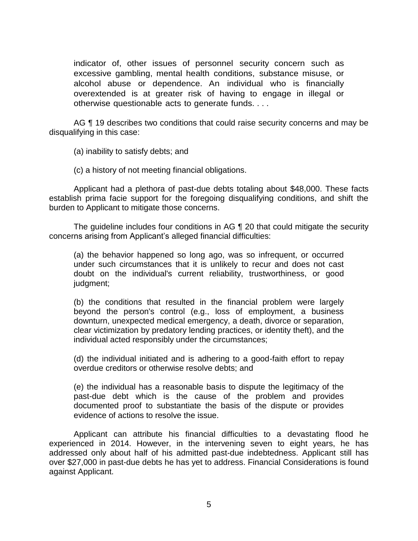indicator of, other issues of personnel security concern such as excessive gambling, mental health conditions, substance misuse, or alcohol abuse or dependence. An individual who is financially overextended is at greater risk of having to engage in illegal or otherwise questionable acts to generate funds. . . .

AG ¶ 19 describes two conditions that could raise security concerns and may be disqualifying in this case:

(a) inability to satisfy debts; and

(c) a history of not meeting financial obligations.

 Applicant had a plethora of past-due debts totaling about \$48,000. These facts establish prima facie support for the foregoing disqualifying conditions, and shift the burden to Applicant to mitigate those concerns.

 The guideline includes four conditions in AG ¶ 20 that could mitigate the security concerns arising from Applicant's alleged financial difficulties:

 (a) the behavior happened so long ago, was so infrequent, or occurred under such circumstances that it is unlikely to recur and does not cast doubt on the individual's current reliability, trustworthiness, or good judgment;

 (b) the conditions that resulted in the financial problem were largely beyond the person's control (e.g., loss of employment, a business clear victimization by predatory lending practices, or identity theft), and the downturn, unexpected medical emergency, a death, divorce or separation, individual acted responsibly under the circumstances;

 (d) the individual initiated and is adhering to a good-faith effort to repay overdue creditors or otherwise resolve debts; and

 (e) the individual has a reasonable basis to dispute the legitimacy of the past-due debt which is the cause of the problem and provides documented proof to substantiate the basis of the dispute or provides evidence of actions to resolve the issue.

 Applicant can attribute his financial difficulties to a devastating flood he experienced in 2014. However, in the intervening seven to eight years, he has addressed only about half of his admitted past-due indebtedness. Applicant still has over \$27,000 in past-due debts he has yet to address. Financial Considerations is found against Applicant.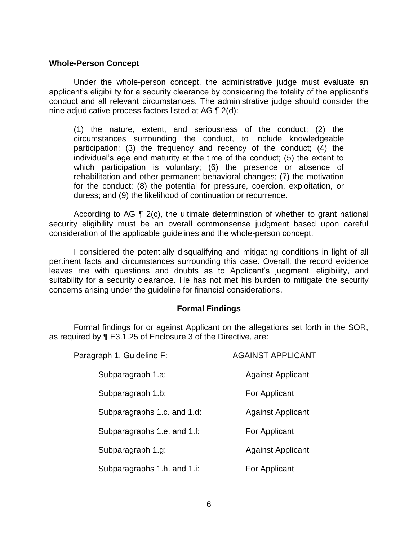#### **Whole-Person Concept**

Under the whole-person concept, the administrative judge must evaluate an applicant's eligibility for a security clearance by considering the totality of the applicant's conduct and all relevant circumstances. The administrative judge should consider the nine adjudicative process factors listed at AG ¶ 2(d):

(1) the nature, extent, and seriousness of the conduct; (2) the circumstances surrounding the conduct, to include knowledgeable participation; (3) the frequency and recency of the conduct; (4) the individual's age and maturity at the time of the conduct; (5) the extent to which participation is voluntary; (6) the presence or absence of rehabilitation and other permanent behavioral changes; (7) the motivation for the conduct; (8) the potential for pressure, coercion, exploitation, or duress; and (9) the likelihood of continuation or recurrence.

 According to AG ¶ 2(c), the ultimate determination of whether to grant national security eligibility must be an overall commonsense judgment based upon careful consideration of the applicable guidelines and the whole-person concept.

 I considered the potentially disqualifying and mitigating conditions in light of all pertinent facts and circumstances surrounding this case. Overall, the record evidence leaves me with questions and doubts as to Applicant's judgment, eligibility, and suitability for a security clearance. He has not met his burden to mitigate the security concerns arising under the guideline for financial considerations.

## **Formal Findings**

 Formal findings for or against Applicant on the allegations set forth in the SOR, as required by ¶ E3.1.25 of Enclosure 3 of the Directive, are:

| Paragraph 1, Guideline F:   | <b>AGAINST APPLICANT</b> |
|-----------------------------|--------------------------|
| Subparagraph 1.a:           | <b>Against Applicant</b> |
| Subparagraph 1.b:           | For Applicant            |
| Subparagraphs 1.c. and 1.d: | <b>Against Applicant</b> |
| Subparagraphs 1.e. and 1.f: | For Applicant            |
| Subparagraph 1.g:           | <b>Against Applicant</b> |
| Subparagraphs 1.h. and 1.i: | For Applicant            |
|                             |                          |